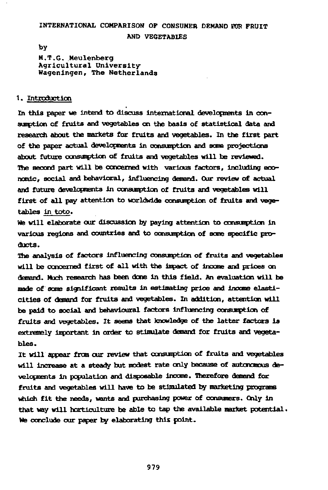# INTERNATIONAL COMPARISON OF CONSUMER DEMAND FOR FRUIT **AND VEGETABLES**

**by** 

**M.T.G. Meulenberg Agricultural University Wageningen, The Netherlands** 

# **1. Introduction**

**In this paper we intend to discuss international developments in consumption of fruits and vegetables on the basis of statistical data and research about the markets for fruits and vegetables. In the first part of the paper actual developments in consumption and some projections about future consumption of fruits and vegetables will be reviewed. The second part will be concerned with various factors, including economic, social and behavioral, influencing demand. Our review of actual and future developments in consumption of fruits and vegetables will first of all pay attention to worldwide consumption of fruits and vegetables in toto.** 

**We will elaborate our discussion by paying attention to consumption in various regions and countries and to consumption of some specific products.** 

**The analysis of factors influencing consumption of fruits and vegetables will be concerned first of all with the Impact of income and prices on demand. Much research has been done in this field. An evaluation will be made of some significant results in estimating price and income elasticities of demand for fruits and vegetables. In addition, attention will**  be paid to social and behavioural factors influencing consumption of **fruits and vegetables. It seems that knowledge of the latter factors is extremely Important in order to stimulate demand for fruits and vegetables.** 

**It will appear from our review that consumption of fruits and vegetables will increase at a steady but modest rate only because of autonomous developments in population and disposable income. Therefore demand for fruits and vegetables will have to be stimulated by marketing programs which fit the needs, wants and purchasing power of consumers. Only in that way will horticulture be able to tap the available market potential. Vfe conclude our paper by elaborating this point.**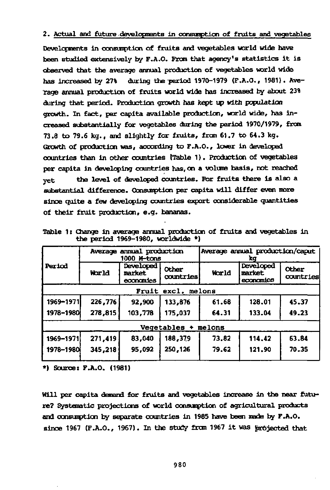## **2. Actual and future developments In consunptlon of fruits and vegetables**

**Developments in consuoption of fruits and vegetables world wide have been studied extensively by F.A.O. From that agency's statistics it is observed that the average annual production of vegetables world wide has increased by 27% during the period 1970-1979 (F.A.O., 1981). Average annual production of fruits world wide has increased by about 23% during that period. Production growth has kept up with population growth. In fact, per capita available production, world wide, has increased substantially for vegetables during the period 1970/1979, from 73.8 to 79.6 kg., and slightly for fruits, from 61.7 to 64.3 kg. Growth of production was, according to F.A.O., lower in developed countries than in other countries (Table 1 ). Production of vegetables per capita in developing countries has, on a volume basis, not reached yet the level of developed countries. For fruits there is also a substantial difference. Consumption per capita will differ even more since quite a few developing countries export considerable quantities of their fruit production, e.g. bananas.** 

|                       |         | Average annual production<br>1000 M-tans |                       | Average annual production/caput<br>Xα |                                  |                    |  |  |  |  |  |  |
|-----------------------|---------|------------------------------------------|-----------------------|---------------------------------------|----------------------------------|--------------------|--|--|--|--|--|--|
| Period                | World   | Developed<br>market<br>economies         | Other<br>countries    | World                                 | Developed<br>market<br>economies | Other<br>countries |  |  |  |  |  |  |
| excl. melons<br>Fruit |         |                                          |                       |                                       |                                  |                    |  |  |  |  |  |  |
| 1969–1971             | 226,776 | 92.900                                   | 133.876               | 61.68                                 | 128.01                           | 45.37              |  |  |  |  |  |  |
| 1978-1980             | 278,815 | 103,778                                  | 175,037               | 64.31                                 | 133.04                           | 49.23              |  |  |  |  |  |  |
|                       |         |                                          | $Veqetables + melons$ |                                       |                                  |                    |  |  |  |  |  |  |
| 1969-1971             | 271,419 | 83,040                                   | 188,379               | 73.82                                 | 114,42                           | 63.84              |  |  |  |  |  |  |
| 1978-1980             | 345,218 | 95.092                                   | 250,126               | 79.62                                 | 121.90                           | 70.35              |  |  |  |  |  |  |
|                       |         |                                          |                       |                                       |                                  |                    |  |  |  |  |  |  |

**Table 1 : Change in average annual production of fruits and vegetables in the period 1969-1980, worldwide \*)** 

**\*) Source: F.A.O. (1981)** 

**Will per capita demand for fruits and vegetables increase in the near future? Systematic projections of world consumption of agricultural products and consumption by separate countries in 1985 have been made by F.A.O. since 1967 (F.A.O., 1967). In the study from 1967 it was projected that**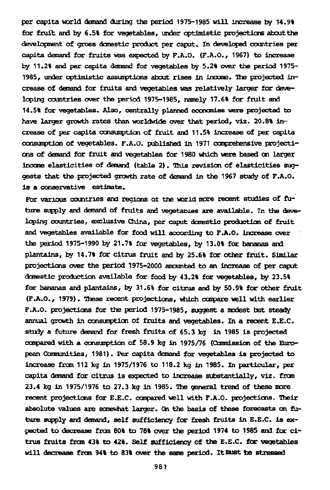per capita world demand during the period 1975-1985 will increase by 14.9% for fruit and by 6.5% for vegetables, under optimistic projections about the development of gross domestic product per caput. In developed countries per capita demand for fruits was expected by F.A.O. (F.A.O., 1967) to increase by 11.2% and per capita demand for vegetables by 5.2% over the period 1975- 1985, under optimistic assumptions about rises in income. The projected increase of demand for fruits and vegetables was relatively larger for developing countries over the period 1975-1985, namely 17.6% for fruit and 14.5% for vegetables. Also, centrally planned economies were projected to have larger growth rates than worldwide over that period, viz. 20.8% increase of per capita consumption of fruit and 11.5% increase of per capita consumption of vegetables. F.A.O. published in 1971 comprehensive projections of demand for fruit and vegetables for 1980 which were based on larger income elasticities of demand (table 2). This revision of elasticities suggests that the projected growth rate of demand in the 1967 study of F.A.O. is a conservative estimate.

For various countries and regions ot the world more recent studies of future supply and demand of fruits and vegetables are available. In the developing countries, exclusive China, per caput domestic production of fruit and vegetables available for food will according to F.A.O. increase over the period 1975-1990 by 21.7% for vegetables, by 13.0% for bananas and plantains, by 14.7% for citrus fruit and by 25.6% for other fruit. Similar projections over the period 1975-2000 amounted to an increase of per caput domestic production available for food by 43.2% for vegetables, by 23.5% for bananas and plantains, by 31.6% for citrus and by 50.9% for other fruit (F.A.O., 1979). These recent projections, which compare well with earlier F.A.O. projections for the period 1975-1985, suggest a modest but steady annual growth in consumption of fruits and vegetables. In a recent E.E.C. study a future demand for fresh fruits of 65.3 kg in 1985 is projected compared with a consumption of 58.9 kg in 1975/76 (Commission of the European Communities, 1981). Per capita demand for vegetables is projected to increase from 112 kg in 1975/1976 to 118.2 kg in 1985. In particular, per capita demand for citrus is expected to increase substantially, viz. from 23.4 kg in 1975/1976 to 27.3 kg in 1985. The general trend of these more recent projections for E.E.C. compared well with F.A.O. projections. Their absolute values are somewhat larger. On the basis of these forecasts on future supply and demand, self sufficiency for fresh fruits in E.E.C. is expected to decrease from 80% to 78% over the period 1974 to 1985 and for citrus fruits from 43% to 42%. Self sufficiency of the E.E.C. for vegetables will decrease from 94% to 83% over the same period. It must te stressed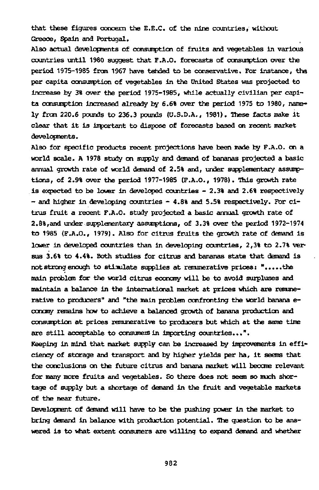that these figures concern the E.E.C. of the nine countries, without Greece, Spain and Portugal.

Also actual developments of consumption of fruits and vegetables in various countries until 1980 suggest that F.A.O. forecasts of consumption over the period 1975-1985 from 1967 have tended to be conservative. For instance, the per capita consumption of vegetables in the united States was projected to increase by 3% over the period 1975-1985, while actually civilian per capita consumption increased already by 6.6% over the period 1975 to 1980, namely from 220.6 pounds to 236.3 pounds (U.S.D.A., 1981). These facts make it clear that it is important to dispose of forecasts based on recent market developments.

Also for specific products recent projections have been made by F.A.O. on a world scale. A 1978 study on supply and demand of bananas projected a basic annual growth rate of world demand of 2.5% and, under supplementary assumptions, of 2.9% over the period 1977-1985 (F.A.O., 1978). This growth rate is expected to be lower in developed countries - 2.3% and 2.6% respectively - and higher in developing countries - 4.8% and 5.5% respectively. For citrus fruit a recent F.A.O. study projected a basic annual growth rate of 2.8%,and under supplementary assumptions, of 3.3% over the period 1972-1974 to 1985 (F.A.O., 1979). Also for citrus fruits the growth rate of demand is lower in developed countries than in developing countries, 2,3% to 2.7% versus 3.6% to 4.4%. Both studies for citrus and bananas state that demand is not strong enough to stimulate supplies at remunerative prices: ".....the main problem for the world citrus economy will be to avoid surpluses and maintain a balance in the international market at prices which are remunerative to producers" and "the main problem confronting the world banana econctny remains how to achieve a balanced growth of banana production and consumption at prices remunerative to producers but which at the same time are still acceptable to consumes in importing countries...".

Keeping in mind that market supply can be increased by improvements in efficiency of storage and transport and by higher yields per ha, it seems that the conclusions on the future citrus and banana market will become relevant for many more fruits and vegetables. So there does not seem so much shortage of supply but a shortage of demand in the fruit and vegetable markets of the near future.

Development of demand will have to be the pushing power in the market to bring demand in balance with production potential. The question to be answered is to what extent consumers are willing to expand demand and whether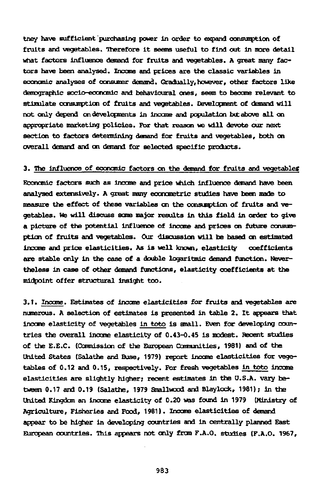tney have sufficient'purchasing power in order to expand consumption of fruits and vegetables. Therefore it seems useful to find out in more detail what factors influence demand for fruits and vegetables. A great many factors have been analysed. Income and prices are the classic variables in economic analyses of consumer demand. Gradually, however, other factors like demographic socio-economic and behavioural ones, seem to become relevant to stimulate consumption of fruits and vegetables. Development of demand will not only depend on developments in income and population bit above all on appropriate marketing policies. For that reason we will devote our next section to factors determining demand for fruits and vegetables, both on overall demand and on demand for selected specific products.

#### 3. the influence of economic factors on the demand for fruits and vegetables

Economic factors such as income and price which influence demand have been analysed extensively. A great many econometric studies have been made to measure the effect of these variables on the consumption of fruits and vegetables. We will discuss some major results in this field in order to give a picture of the potential influence of income and prices on future consumption of fruits and vegetables. Our discussion will be based on estimated income and price elasticities. As is well known, elasticity coefficients are stable only in the case of a double logaritmic demand function. Nevertheless in case of other demand functions, elasticity coefficients at the midpoint offer structural insight too.

3.1. Income. Estimates of income elasticities for fruits and vegetables are numerous. A selection of estimates is presented in table 2. It appears that income elasticity of vegetables in toto is small. Even for developing countries the overall income elasticity of 0.43-0.45 is modest. Recent studies of the E.E.C. (Ccmnission of the European Communities, 1981) and of the united States (Salathe and Buse, 1979) report income elasticities for vegetables of 0.12 and 0.15, respectively. For fresh vegetables in toto income elasticities are slightly higher; recent estimates in the U.S.A. vary between 0.17 and 0.19 (Salathe, 1979 Smallwood and Blaylock, 1981); in the United Kingdom an income elasticity of 0.20 was found in 1979 (Ministry of Agriculture, Fisheries and Food, 1981). Income elasticities of demand appear to be higher in developing countries and in centrally planned East European countries. This appears not only from F.A.O. studies (F.A.O. 1967,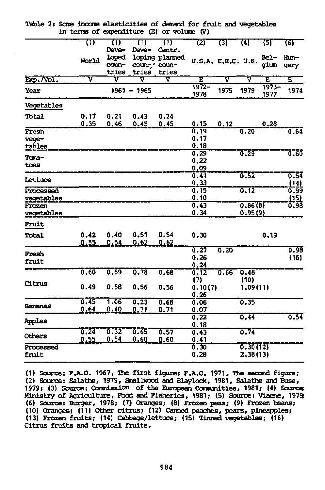|                   | T)    | $\overline{1}$ | $\overline{}}$<br>Deve- | $\overline{u}$<br>Centr. | रश                 | छा   | (4)      | रडा              | (6)          |
|-------------------|-------|----------------|-------------------------|--------------------------|--------------------|------|----------|------------------|--------------|
|                   |       | Deve-<br>loped |                         | loping planned           |                    |      |          | Bel-             | Hun-         |
|                   | World | coun-          | coun-, coun-            |                          | U.S.A. E.E.C. U.K. |      |          | gium             | gary         |
|                   |       | tries          | tries                   | tries                    |                    |      |          |                  |              |
| $E\phi$ . $N$ ol. | v     | v              | v                       | v                        | Έ                  | ए    | ⊽        | Έ                | Ē            |
| Year              |       |                | $1961 - 1965$           |                          | $1972 -$<br>1978   | 1975 | 1979     | $1973 -$<br>1977 | 1974         |
| Vegetables        |       |                |                         |                          |                    |      |          |                  |              |
| Total             | 0.17  | 0.21           | 0.43                    | 0.24                     |                    |      |          |                  |              |
|                   | 0.35  | 0.46           | 0.45                    | 0.45                     | 0.15               | 0.12 |          | 0.28             |              |
| Fresh             |       |                |                         |                          | 0.19               |      | 0.20     |                  | 0.64         |
| vege-             |       |                |                         |                          | 0.17               |      |          |                  |              |
| tables            |       |                |                         |                          | 0.18               |      |          |                  |              |
| Toma-             |       |                |                         |                          | 0.29               |      | 0.29     |                  | 0.60         |
| toes              |       |                |                         |                          | 0.22               |      |          |                  |              |
|                   |       |                |                         |                          | 0.09               |      | 0.52     |                  |              |
| Lettuce           |       |                |                         |                          | 0.41<br>0, 33      |      |          |                  | 0.54<br>(14) |
| Processed         |       |                |                         |                          | 0.15               |      | 0.12     |                  | 0.99         |
| vegetables        |       |                |                         |                          | 0.10               |      |          |                  | (15)         |
| Frozen            |       |                |                         |                          | 0.43               |      | 0.86(8)  |                  | 0.98         |
| vegetables        |       |                |                         |                          | 0.34               |      | 0.95(9)  |                  |              |
| Fruit             |       |                |                         |                          |                    |      |          |                  |              |
| Total             | 0.42  | 0.40           | 0.51                    | 0.54                     | 0.30               |      |          | 0.19             |              |
|                   | 0.55  | 0.54           | 0.62                    | 0.62                     |                    |      |          |                  |              |
| Fresh             |       |                |                         |                          | 0.27               | 0.20 |          |                  | 0.98         |
| fruit             |       |                |                         |                          | 0.26               |      |          |                  | (16)         |
|                   |       |                |                         |                          | 0.24               |      |          |                  |              |
|                   | 0.60  | 0.59           | $\overline{0.78}$       | 0.68                     | 0.12               | 0.66 | 0.48     |                  |              |
| Citrus            |       |                |                         |                          | (7)                |      | (10)     |                  |              |
|                   | 0.49  | 0.58           | 0.56                    | 0.56                     | 0.10(7)<br>0.26    |      | 1.09(11) |                  |              |
|                   | 0.45  | 1.06           | 0.23                    | 0.68                     | 0.06               |      | 0.35     |                  |              |
| Bananas           | 0.64  | 0.40           | 0,71                    | 0.71                     | 0.07               |      |          |                  |              |
| Arples            |       |                |                         |                          | 0.22               |      | 0.44     |                  | 0.54         |
|                   |       |                |                         |                          | 0.18               |      |          |                  |              |
| Others            | 0.24  | 0.32           | 0.65                    | 0.57                     | 0.43               |      | 0.74     |                  |              |
|                   | 0.55  | 0.54           | 0.60                    | 0.60                     | 0.41               |      |          |                  |              |
| Processed         |       |                |                         |                          | 0.30               |      | 0.307121 |                  |              |
| fruit             |       |                |                         |                          | 0.28               |      | 2.38(13) |                  |              |

Table 2: Same income elasticities of demand for fruit and vegetables in terms of expenditure (E) or volume (V)

(1) Source: F.A.O. 1967, The first figure; F.A.O. 1971, The second figure; (2) Source: Salathe, 1979, Smallwood and Blaylock, 1981, Salathe and Buse, 1979; (3) Source: Cannission of the European Camunities, 1981; (4) Source; Ministry of Agriculture, Food and Fisheries, 1981; (5) Source: Viaene, 1979; (6) Source: Burger, 1978; (7) Oranges; (8) Frozen peas; (9) Frozen beans; (10) Oranges; (11) Other citrus; (12) Canned peaches, pears, pineapples; (13) Frozen fruits; (14) Cabbage/lettuce; (15) Tinned vegetables; (16) Citrus fruits and tropical fruits.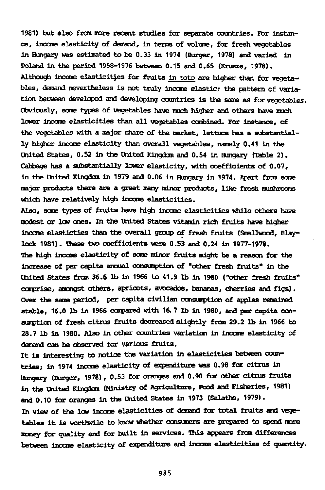1981) but also fron more recent studies for separate countries. Por instance, income elasticity of demand, in terms of volume, for fresh vegetables in Hungary was estimated to be 0.33 in 1974 (Burger, 1978) and varied in Poland in the period 1958-1976 between 0.15 and 0.65 (Krusze, 1978). Although income elasticities for fruits in toto are higher than for vegetables, demand nevertheless is not truly income elastic; the pattern of variation between developed and developing countries is the same as for vegetables. Obviously, some types of vegetables have much higher and others have much lower income elasticities than all vegetables combined. For instance, of the vegetables with a major share of the market, lettuce has a substantially higher income elasticity than overall vegetables, namely 0.41 in the United States, 0.52 in the United Kingdom and 0.54 in Hungary (Table 2). Cabbage has a substantially lower elasticity, with coefficients of 0.07, in the United Kingdom in 1979 and 0.06 in Hungary in 1974. Apart from some major products there are a great many minor products, like fresh mushrooms which have relatively high income elasticities.

Also, some types of fruits have high income elasticities while others have modest or low ones. In the United States vitamin rich fruits have higher income elasticties than the overall group of fresh fruits (Smallwood, Blaylock 1981). These two coefficients were 0.53 and 0.24 in 1977-1978. The high income elasticity of some minor fruits might be a reason for the increase of per capita annual consumption of "other fresh fruits" in the United States from 36.6 lb in 1966 to 41.9 lb in 1980 ("other fresh fruits" comprise, amongst others, apricots, avocados, bananas, cherries and figs). Over the same period, per capita civilian consumption of apples remained stable, 16.0 lb in 1966 compared with 16. 7 lb in 1980, and per capita consumption of fresh citrus fruits decreased slightly- from 29.2 lb in 1966 to 28.7 lb in 1980. Also in other countries variation in income elasticity of demand can be observed for various fruits.

It is interesting to notice the variation in elasticities between countries; in 1974 Income elasticity of expenditure was 0.98 for citrus in Hungary (Burger, 1978), 0.53 for oranges and 0.90 for other citrus fruits in the United Kingdom (Ministry of Agriculture, Food and Fisheries, 1981) and 0.10 for oranges in the United States In 1973 (Salathe, 1979). In view of the low income elasticities of demand for total fruits and vegetables it is worthwile to know whether consumers are prepared to spend more money for quality and for built in services. This appears from differences between income elasticity of expenditure and income elasticities of quantity.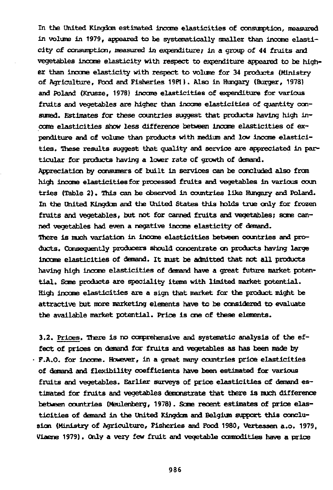In the United Kingdom estimated income elasticities of consumption, measured in volume in 1979, appeared to be systematically smaller than income elasticity of consumption, measured in expenditure; in a group of 44 fruits and vegetables income elasticity with respect to expenditure appeared to be higher than income elasticity with respect to volume for 34 products (Ministry of Agriculture, Pood and Fisheries 19P1 ). Also in Hungary (Burger, 1978) and Poland (Krusze, 1978) income elasticities of expenditure for various fruits and vegetables are higher than income elasticities of quantity consumed. Estimates for these countries suggest that products having high income elasticities show less difference between income elasticities of expenditure and of volume than products with medium and low income elasticities. These results suggest that quality and service are appreciated in particular for products having a lower rate of growth of demand.

Appreciation by consumers of built in services can be concluded also from high income elasticities for processed fruits and vegetables in various coun tries (Table 2). This can be observed in countries like Hungary and Poland. In the united Kingdom and the United States this holds true only for frozen fruits and vegetables, but not for canned fruits and vegetables; some canned vegetables had even a negative income elasticity of demand. There is much variation in income elasticities between countries and products. Consequently producers should concentrate on products having large income elasticities of demand. It must be admitted that not all products having high income elasticities of demand have a great future market potential. Some products are speciality items with limited market potential. High income elasticities are a sign that market for the product might be attractive but more marketing elements have to be considered to evaluate

the available market potential. Price is one of these elements.

3.2. Prices. There is no comprehensive and systematic analysis of the effect of prices on demand for fruits and vegetables as has been made by F.A.O. for income. However, in a great many countries price elasticities of demand and flexibility coefficients have been estimated for various fruits and vegetables. Earlier surveys of price elasticities of demand estimated for fruits and vegetables demonstrate that there is much difference between countries (Meulenberg, 1978). Seme recent estimates of price elasticities of demand in the United Kingdom and Belgium support this conclusion (Ministry of Agriculture, Fisheries and Food 1980, Vertessen a.o. 1979, Viaene 1979). Only a very few fruit and vegetable commodities have a price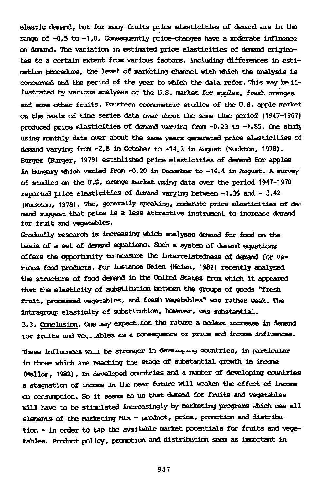elastic demand, but for many fruits price elasticities of demand are in the range of  $-0.5$  to  $-1.0$ . Consequently price-changes have a moderate influence on demand. The variation in estimated price elasticities of demand originates to a certain extent from various factors, including differences in estimation procedure, the level of marketing channel with which the analysis is concerned and the period of the year to which the data refer. This may be illustrated by various analyses of the U.S. market for apples, fresh oranges and some other fruits. Fourteen econometric studies of the U.S. apple market on the basis of time series data over about the same time period (1947-1967) produced price elasticities of demand varying from -0.23 to -1.85. One study using monthly data over about the same years generated price elasticities of demand varying from -2.8 in October to -14.2 in August (Nuckton, 1978). Burger (Burger, 1979) established price elasticities of demand for apples in Hungary which varied frcm -0.20 in December to -16.4 in August. A survey of studies on the U.S. orange market using data over the period 1947-1970 reported price elasticities of demand varying between -1.36 and - 3.42 (Nuckton, 1978). The, generally speaking, moderate price elasticities of demand suggest that price is a less attractive instrument to increase demand for fruit and vegetables.

Gradually research is increasing which analyses demand for food on the basis of a set of demand equations. Such a system of demand equations offers the opportunity to measure the interrelatedness of demand for various food products. For instance Heien (Helen, 1982) recently analysed the structure of food demand in the united States from which it appeared that the elasticity of substitution between the groups of goods "fresh fruit, processed vegetables, and fresh vegetables" was rather weak. The intragroup elasticity of substitution, however, was substantial.

3.3. Conclusion. One may expect.tor the ruture a modest increase in demand Lor fruits and vey, ables as a consequence or price and income influences.

These influences will be stronger in developing countries, in particular in those which are reaching the stage of substantial growth in income (Mellor, 1982). In developed countries and a number of developing countries a stagnation of income in the near future will weaken the effect of income on consumption. So it seems to us that demand for fruits and vegetables will have to be stimulated increasingly by marketing programs which use all elements of the Marketing Mix - product, price, promotion and distribution - in order to tap the available market potentials for fruits and vegetables. Product policy, promotion and distribution seem as important in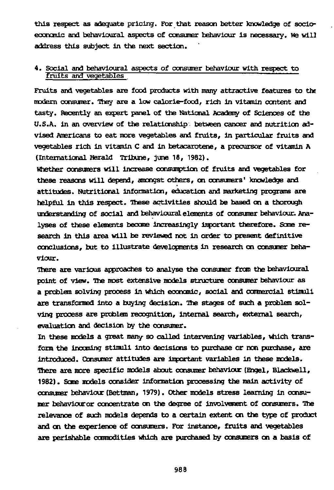this respect as adequate pricing. For that reason better knowledge of socioeconomic and behavioural aspects of consumer behaviour is necessary. We wil] address this subject in the next section.

# 4. Social and behavioural aspects of consumer behaviour with respect to fruits and vegetables

Fruits and vegetables are food products with many attractive features to the modem consumer. They are a low calorie-food, rich in vitamin content and tasty. Recently an expert panel of the National Academy of Sciences of the U.S.A. in an overview of the relationship between cancer and nutrition advised Americans to eat more vegetables and fruits, in particular fruits and vegetables rich in vitamin C and in betacarotene, a precursor of vitamin A (International Herald Tribune, June 18, 1982).

Whether consumers will increase consumption of fruits and vegetables for these reasons will depend, amongst others, on consumers' knowledge and attitudes. Nutritional information, education and marketing programs are helpful in this respect. These activities should be based on a thorough understanding of social and behavioural elements of consumer behaviour. Analyses of these elements become increasingly important therefore. Some research in this area will be reviewed not in order to present definitive conclusions, but to illustrate developments in research on consumer behaviour.

There are various approaches to analyse the consumer from the behavioural point of view. The most extensive models structure consumer behaviour as a problem solving process in which economic, social and commercial stimuli are transformed into a buying decision. The stages of such a problem solving process are problem recognition, internal search, external search, evaluation and decision by the consumer.

In these models a great many so called intervening variables, which transform the incoming stimuli into decisions to purchase or non purchase, are introduced. Consumer attitudes are Important variables in these models. There are more specific models about consumer behaviour (Engel, Blackwell, 1982). Some models consider information processing the main activity of consumer behaviour (Bettman, 1979). Other models stress learning in consumer behaviouror concentrate on the degree of involvement of consumers. The relevance of such models depends to a certain extent on the type of product and on the experience of consumers. For instance, fruits and vegetables are perishable commodities which are purchased by consumers on a basis of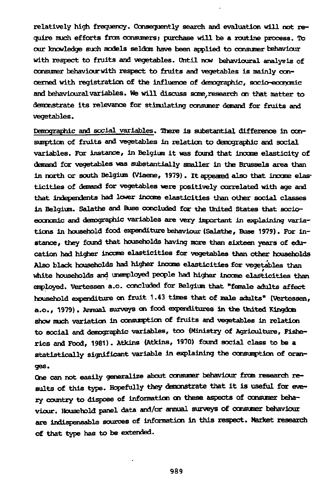relatively high frequency- Consequently search and evaluation will not require ranch efforts from consumers; purchase will be a routine process. To our knowledge such models seldom have been applied to consumer behaviour with respect to fruits and vegetables. Until now behavioural analysis of consumer behaviourwith respect to fruits and vegetables is mainly concerned with registration of the influence of demographic, socio-economic and behavioural variables. We will discuss some/research on that matter to demonstrate its relevance for stimulating consumer demand for fruits and vegetables.

Paragraphic and social variables. There is substantial difference in consumption of fruits and vegetables in relation to demographic and social variables. For instance, in Belgium it was found that income elasticity of demand for vegetables was substantially smaller in the Brussels area than in north or south Belgium (Viaene, 1979). It appeared also that income elasticities of demand for vegetables were positively correlated with age and that independents had lower income elasticities than other social classes in Belgium. Salathe and Buse concluded for the United States that socioeconomic and demographic variables are very important in explaining variations in household food expenditure behaviour (Salathe, Buse 1979). For instance, they found that households having more than sixteen years of education had higher income elasticities for vegetables than other households Also black households had higher income elasticities for vegetables than white households and unemployed people had higher income elasticities than employed. Vertessen a.o. concluded for Belgium that "female adults affect household expenditure on fruit 1.43 times that of male adults" (vertessen, a.o., 1979). Annual surveys on food expenditures in the United Kingdom show much variation in consumption of fruits and vegetables in relation to social and demographic variables, too (Ministry of Agriculture, Fisheries and Food, 1981). Atkins (Atkins, 1970) found social class to be a statistically significant variable in explaining the consumption of oranges.

Cne can not easily generalize about consumer behaviour from research results of this type. Hopefully they demonstrate that it is useful for every country to dispose of information on these aspects of consumer behaviour. Household panel data and/or annual surveys of consumer behaviour are indispensable sources of information in this respect. Market research of that type has to be extended.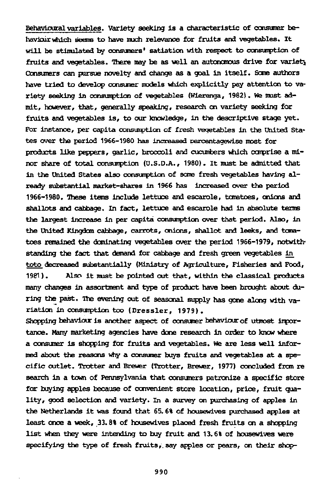Behavioural variables. Variety seeking is a characteristic of consumer behaviairwhich seems to have much relevance for fruits and vegetables. It will be stimulated by consumers' satiation with respect to consumption of fruits and vegetables. There may be as well an autonomous drive for variety Consumers can pursue novelty and change as a goal in itself. Some authors have tried to develop consumer models which explicitly pay attention to variety seeking in consumption of vegetables (Wierenga, 1982). We must admit, however, that, generally speaking, research on variety seeking for fruits and vegetables is, to our knowledge, in the descriptive stage yet. For instance, per capita consumption of fresh vegetables in the United States over the period 1966-1980 has increased percentagewise most for products like peppers, garlic, broccoli and cucumbers which comprise a minor share of total consumption (U.S.D.A., 1980). It must be admitted that in the united States also consumption of some fresh vegetables having already substantial market-shares in 1966 has increased over the period 1966-1980. These items include lettuce and escarole, tomatoes, onions and shallots and cabbage. In fact, lettuce and escarole had in absolute terms the largest increase in per capita consumption over that period. Also, in the United Kingdom cabbage, carrots, onions, shallot and leeks, and tomatoes remained the dominating vegetables over the period 1966-1979, notwithstanding the fact that demand for cabbage and fresh green vegetables in toto decreased substantially (Ministry of Agriculture, Fisheries and Food, 1981). Also it must be pointed out that, within the classical products many changes in assortment and type of product have been brought about during the past. The evening out of seasonal supply has gone along with variation in consumption too (Dressier, 1979) .

Shopping behaviour is another aspect of consumer behaviour of utmost importance. Many marketing agencies have done research in order to know where a consumer is shopping for fruits and vegetables. We are less well informed about the reasons why a consumer buys fruits and vegetables at a specific outlet. Trotter and Brewer (Trotter, Brewer, 1977) concluded from re search in a town of Pennsylvania that consumers patronize a specific store for buying apples because of convenient store location, price, fruit quality, good selection and variety. In a survey on purchasing of apples in the Netherlands it was found that 65. 6% of housewives purchased apples at least once a week, 33.8% of housewives placed fresh fruits on a shopping list when they were intending to buy fruit and 13.6% of housewives were specifying the type of fresh fruits, say apples or pears, on their shop-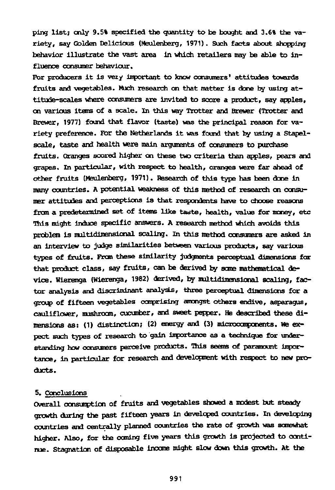ping list; only 9.5% specified the quantity to be bought and 3.6% the variety, say Golden Delicious (Meulenberg, 1971). Such facts about shopping behavior illustrate the vast area in which retailers may be able to influence consumer behaviour.

For producers it is very important to know consumers' attitudes towards fruits and vegetables. Much research on that matter is done by using attitude-scales where consumers are invited to score a product, say apples, on various items of a scale. In this way Trotter and Brewer (Trotter and Brewer, 1977) found that flavor (taste) was the principal reason for variety preference. For the Netherlands it was found that by using a Stapelscale, taste and health were main arguments of consumers to purchase fruits. Oranges scored higher en these two criteria than apples, pears and grapes. In particular, with respect to health, oranges were far ahead of other fruits (Meulenberg, 1971). Research of this type has been done in many countries. A potential weakness of this method of research on consumer attitudes and perceptions is that respondents have to choose reasons from a predetermined set of items like taste, health, value for money, etc This might induce specific answers. A research method which avoids this problem is multidimensional scaling. In this method consumers are asked in an interview to judge similarities between various products, say various types of fruits. From these similarity judgments perceptual dimensions for that product class, say fruits, can be derived by some mathematical device. Wierenga (Wierenga, 1982) derived, by multidimensional scaling, factor analysis and discriminant analysis, three perceptual dimensions for a group of fifteen vegetables comprising amongst others endive, asparagus, cauliflower, mushroom, cucumber, and sweet pepper. He described these dimensions as: (1) distinction; (2) energy and (3) microcomponents. We expect such types of research to gain importance as a technique for understanding how consumers perceive products. This seems of paramount importance, in particular for research and development with respect to new products.

### 5. Conclusions

Overall consumption of fruits and vegetables showed a modest but steady growth during the past fifteen years in developed countries. In developing countries and centrally planned countries the rate of growth was somewhat higher. Also, for the coming five years this growth is projected to continue. Stagnation of disposable income might slow down this growth. At the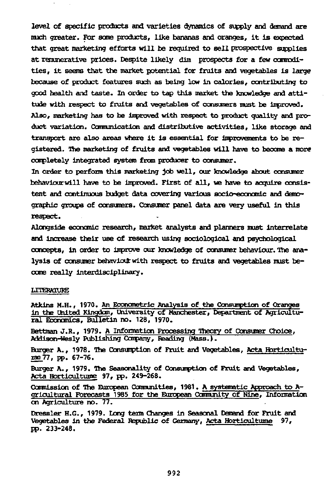level of specific products and varieties dynamics of supply and demand are much greater. For seme products, like bananas and oranges, It is expected that great marketing efforts will be required to sell prospective supplies at remunerative prices. Despite likely dim prospects for a few commoditles, it seems that the market potential for fruits and vegetables is large because of product features such as being low in calories, contributing to good health and taste. In order to tap this market the knowledge and attitude with respect to fruits and vegetables of consumers must be improved. Also, marketing has to be improved with respect to product quality and product variation. Ccumunication and distributive activities, like storage and transport are also areas where it Is essential for Improvements to be registered. The marketing of fruits and vegetables will have to become a more completely integrated system from producer to consumer.

In order to perform this marketing job well, our knowledge about consumer behaviourwill have to be Improved. First of all, we have to acquire consistent and continuous budget data covering various socio-economic and démographie groups of consumers. Consumer panel data are very useful in this respect.

Alongside economic research, market analysts and planners must Interrelate and Increase their use of research using sociological and psychological concepts, in order to improve our knowledge of consumer behaviour. The analysis of consumer behaviour with respect to fruits and vegetables must become really Interdisciplinary.

#### LITERATURE

Atkins M.H., 1970. An Econometric Analysis of the Consumption of Oranges in the United Kingdom, University of Manchester, Department of Agricultural Economics, Bulletin no. 128, 1970.

Bettman J.R., 1979. A Information Processing Theory of Consumer Choice, Addison-Wesly Publishing Company, Reading (Mass.).

Burger A., 1978. The Consumption of Fruit and Vegetables, Acta Hortlculturae\_77, pp. 67-76.

Burger A., 1979. The Seasonality of Consumption of Fruit and vegetables, Acta Hortlcultuiae 97, pp. 249-268.

Commission of The European Communities, 1981. A systematic Approach to Agrlcultural Forecasts 1985 for the European Ccmnunlty of Nine, Information on Agriculture no. 77.

Dressier H.G., 1979. Long term Changes in Seasonal Demand for Fruit and Vegetables in the Federal Republic of Germany, Acta Horticultume 97, pp. 233-248.